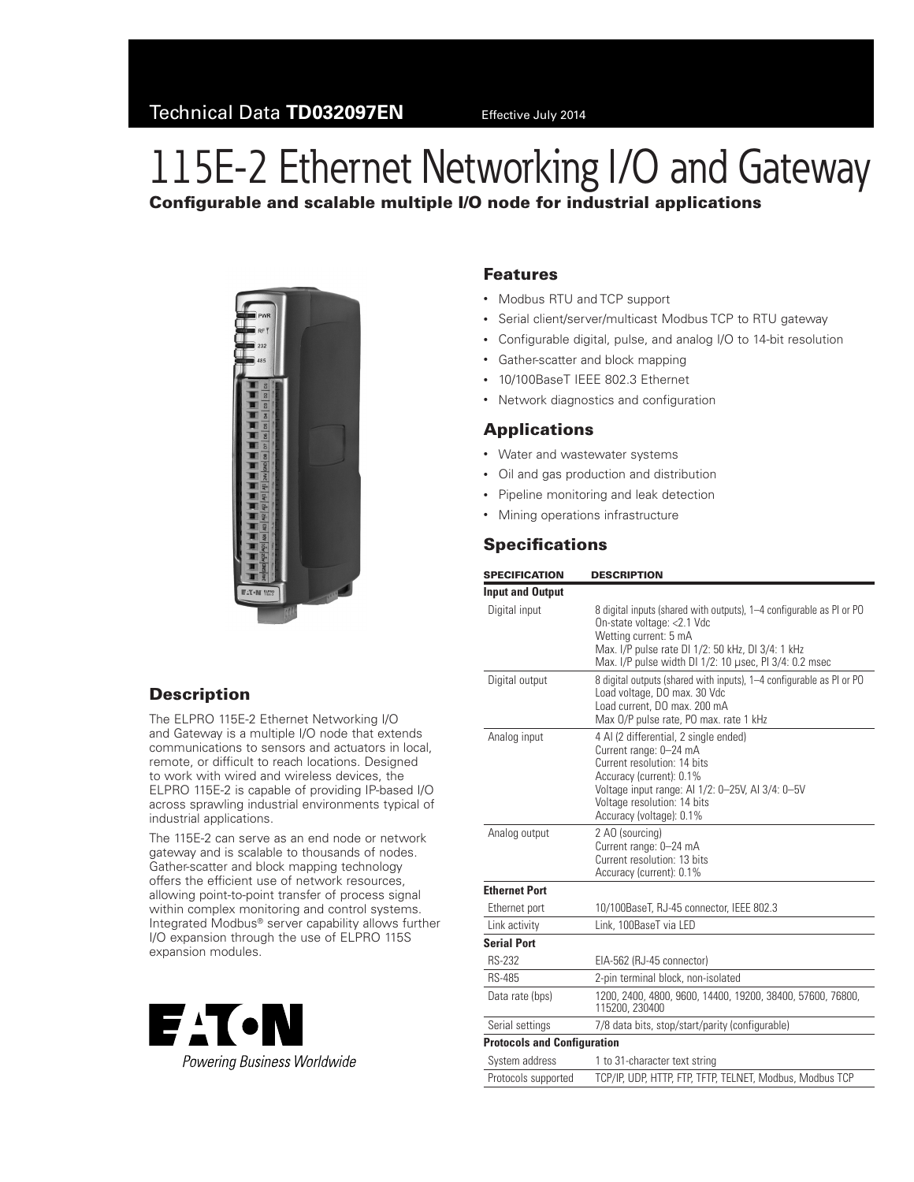# 115E-2 Ethernet Networking I/O and Gateway Configurable and scalable multiple I/O node for industrial applications



### **Description**

The ELPRO 115E-2 Ethernet Networking I/O and Gateway is a multiple I/O node that extends communications to sensors and actuators in local, remote, or difficult to reach locations. Designed to work with wired and wireless devices, the ELPRO 115E-2 is capable of providing IP‑based I/O across sprawling industrial environments typical of industrial applications.

The 115E-2 can serve as an end node or network gateway and is scalable to thousands of nodes. Gather-scatter and block mapping technology offers the efficient use of network resources, allowing point-to-point transfer of process signal within complex monitoring and control systems. Integrated Modbus® server capability allows further I/O expansion through the use of ELPRO 115S expansion modules.



#### Features

- Modbus RTU and TCP support
- Serial client/server/multicast Modbus TCP to RTU gateway
- Configurable digital, pulse, and analog I/O to 14-bit resolution
- • Gather-scatter and block mapping
- 10/100BaseT IEEE 802.3 Ethernet
- Network diagnostics and configuration

#### **Applications**

- • Water and wastewater systems
- • Oil and gas production and distribution
- • Pipeline monitoring and leak detection
- • Mining operations infrastructure

## **Specifications**

| <b>SPECIFICATION</b>               | <b>DESCRIPTION</b>                                                                                                                                                                                                                          |  |
|------------------------------------|---------------------------------------------------------------------------------------------------------------------------------------------------------------------------------------------------------------------------------------------|--|
| <b>Input and Output</b>            |                                                                                                                                                                                                                                             |  |
| Digital input                      | 8 digital inputs (shared with outputs), 1–4 configurable as PI or PO<br>On-state voltage: < 2.1 Vdc<br>Wetting current: 5 mA<br>Max. I/P pulse rate DI 1/2: 50 kHz, DI 3/4: 1 kHz<br>Max. I/P pulse width DI 1/2: 10 µsec, PI 3/4: 0.2 msec |  |
| Digital output                     | 8 digital outputs (shared with inputs), 1-4 configurable as PI or PO<br>Load voltage, DO max. 30 Vdc<br>Load current. DO max. 200 mA<br>Max 0/P pulse rate, PO max. rate 1 kHz                                                              |  |
| Analog input                       | 4 Al (2 differential, 2 single ended)<br>Current range: 0-24 mA<br>Current resolution: 14 bits<br>Accuracy (current): 0.1%<br>Voltage input range: Al 1/2: 0-25V, Al 3/4: 0-5V<br>Voltage resolution: 14 bits<br>Accuracy (voltage): 0.1%   |  |
| Analog output                      | 2 AO (sourcing)<br>Current range: 0-24 mA<br>Current resolution: 13 bits<br>Accuracy (current): 0.1%                                                                                                                                        |  |
| <b>Ethernet Port</b>               |                                                                                                                                                                                                                                             |  |
| Ethernet port                      | 10/100BaseT, RJ-45 connector, IEEE 802.3                                                                                                                                                                                                    |  |
| Link activity                      | Link. 100BaseT via LED                                                                                                                                                                                                                      |  |
| <b>Serial Port</b>                 |                                                                                                                                                                                                                                             |  |
| <b>RS-232</b>                      | EIA-562 (RJ-45 connector)                                                                                                                                                                                                                   |  |
| <b>RS-485</b>                      | 2-pin terminal block, non-isolated                                                                                                                                                                                                          |  |
| Data rate (bps)                    | 1200, 2400, 4800, 9600, 14400, 19200, 38400, 57600, 76800,<br>115200, 230400                                                                                                                                                                |  |
| Serial settings                    | 7/8 data bits, stop/start/parity (configurable)                                                                                                                                                                                             |  |
| <b>Protocols and Configuration</b> |                                                                                                                                                                                                                                             |  |
| System address                     | 1 to 31-character text string                                                                                                                                                                                                               |  |
| Protocols supported                | TCP/IP, UDP, HTTP, FTP, TFTP, TELNET, Modbus, Modbus TCP                                                                                                                                                                                    |  |